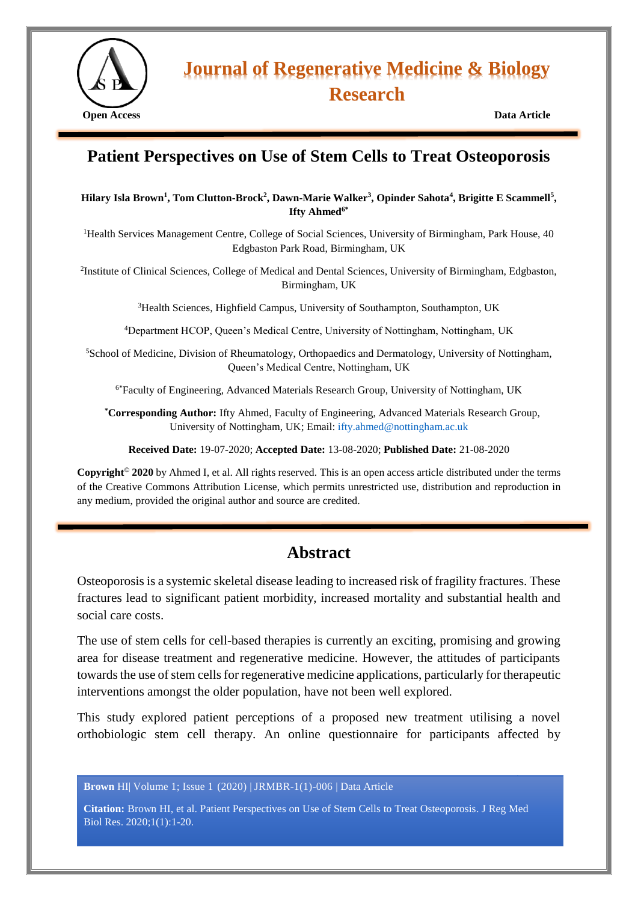

# **Journal of Regenerative Medicine & Biology Research**

# **Patient Perspectives on Use of Stem Cells to Treat Osteoporosis**

#### **Hilary Isla Brown<sup>1</sup> , Tom Clutton-Brock<sup>2</sup> , Dawn-Marie Walker<sup>3</sup> , Opinder Sahota<sup>4</sup> , Brigitte E Scammell<sup>5</sup> , Ifty Ahmed6\***

<sup>1</sup>Health Services Management Centre, College of Social Sciences, University of Birmingham, Park House, 40 Edgbaston Park Road, Birmingham, UK

<sup>2</sup>Institute of Clinical Sciences, College of Medical and Dental Sciences, University of Birmingham, Edgbaston, Birmingham, UK

<sup>3</sup>Health Sciences, Highfield Campus, University of Southampton, Southampton, UK

<sup>4</sup>Department HCOP, Queen's Medical Centre, University of Nottingham, Nottingham, UK

<sup>5</sup>School of Medicine, Division of Rheumatology, Orthopaedics and Dermatology, University of Nottingham, Queen's Medical Centre, Nottingham, UK

6\*Faculty of Engineering, Advanced Materials Research Group, University of Nottingham, UK

**\*Corresponding Author:** Ifty Ahmed, Faculty of Engineering, Advanced Materials Research Group, University of Nottingham, UK; Email: [ifty.ahmed@nottingham.ac.uk](mailto:ifty.ahmed@nottingham.ac.uk)

**Received Date:** 19-07-2020; **Accepted Date:** 13-08-2020; **Published Date:** 21-08-2020

**Copyright© 2020** by Ahmed I, et al. All rights reserved. This is an open access article distributed under the terms of the Creative Commons Attribution License, which permits unrestricted use, distribution and reproduction in any medium, provided the original author and source are credited.

# **Abstract**

Osteoporosis is a systemic skeletal disease leading to increased risk of fragility fractures. These fractures lead to significant patient morbidity, increased mortality and substantial health and social care costs.

The use of stem cells for cell-based therapies is currently an exciting, promising and growing area for disease treatment and regenerative medicine. However, the attitudes of participants towards the use of stem cells for regenerative medicine applications, particularly for therapeutic interventions amongst the older population, have not been well explored.

This study explored patient perceptions of a proposed new treatment utilising a novel orthobiologic stem cell therapy. An online questionnaire for participants affected by

**Brown** HI| Volume 1; Issue 1 (2020) | JRMBR-1(1)-006 | Data Article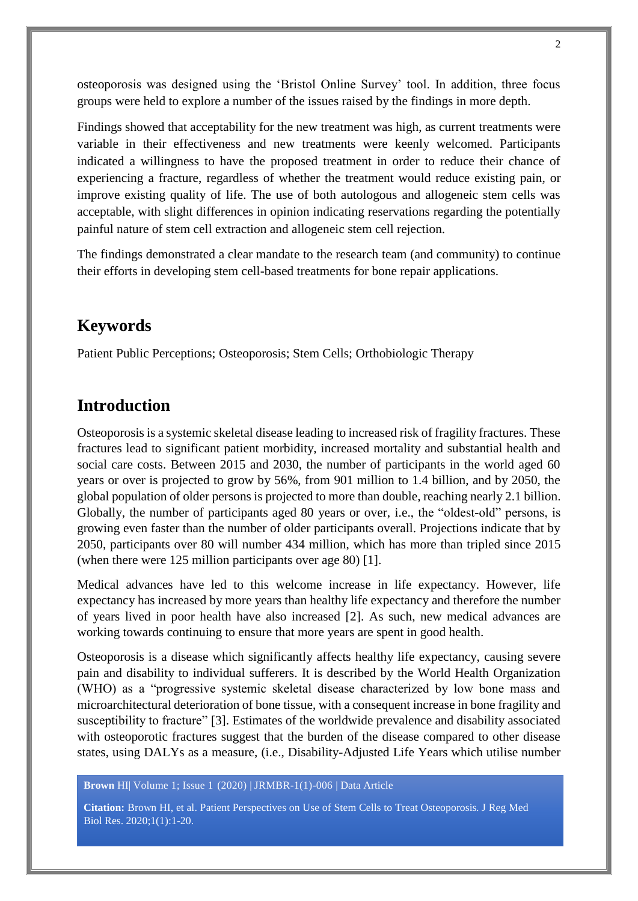osteoporosis was designed using the 'Bristol Online Survey' tool. In addition, three focus groups were held to explore a number of the issues raised by the findings in more depth.

Findings showed that acceptability for the new treatment was high, as current treatments were variable in their effectiveness and new treatments were keenly welcomed. Participants indicated a willingness to have the proposed treatment in order to reduce their chance of experiencing a fracture, regardless of whether the treatment would reduce existing pain, or improve existing quality of life. The use of both autologous and allogeneic stem cells was acceptable, with slight differences in opinion indicating reservations regarding the potentially painful nature of stem cell extraction and allogeneic stem cell rejection.

The findings demonstrated a clear mandate to the research team (and community) to continue their efforts in developing stem cell-based treatments for bone repair applications.

# **Keywords**

Patient Public Perceptions; Osteoporosis; Stem Cells; Orthobiologic Therapy

# **Introduction**

Osteoporosis is a systemic skeletal disease leading to increased risk of fragility fractures. These fractures lead to significant patient morbidity, increased mortality and substantial health and social care costs. Between 2015 and 2030, the number of participants in the world aged 60 years or over is projected to grow by 56%, from 901 million to 1.4 billion, and by 2050, the global population of older persons is projected to more than double, reaching nearly 2.1 billion. Globally, the number of participants aged 80 years or over, i.e., the "oldest-old" persons, is growing even faster than the number of older participants overall. Projections indicate that by 2050, participants over 80 will number 434 million, which has more than tripled since 2015 (when there were 125 million participants over age 80) [1].

Medical advances have led to this welcome increase in life expectancy. However, life expectancy has increased by more years than healthy life expectancy and therefore the number of years lived in poor health have also increased [2]. As such, new medical advances are working towards continuing to ensure that more years are spent in good health.

Osteoporosis is a disease which significantly affects healthy life expectancy, causing severe pain and disability to individual sufferers. It is described by the World Health Organization (WHO) as a "progressive systemic skeletal disease characterized by low bone mass and microarchitectural deterioration of bone tissue, with a consequent increase in bone fragility and susceptibility to fracture" [3]. Estimates of the worldwide prevalence and disability associated with osteoporotic fractures suggest that the burden of the disease compared to other disease states, using DALYs as a measure, (i.e., Disability-Adjusted Life Years which utilise number

**Brown** HI| Volume 1; Issue 1 (2020) | JRMBR-1(1)-006 | Data Article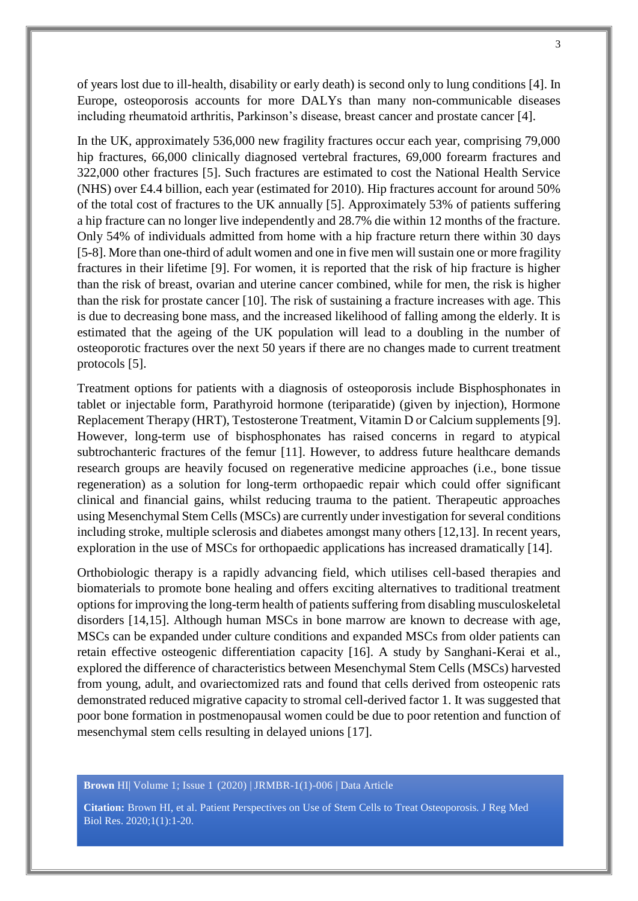of years lost due to ill-health, disability or early death) is second only to lung conditions [4]. In Europe, osteoporosis accounts for more DALYs than many non-communicable diseases including rheumatoid arthritis, Parkinson's disease, breast cancer and prostate cancer [4].

In the UK, approximately 536,000 new fragility fractures occur each year, comprising 79,000 hip fractures, 66,000 clinically diagnosed vertebral fractures, 69,000 forearm fractures and 322,000 other fractures [5]. Such fractures are estimated to cost the National Health Service (NHS) over £4.4 billion, each year (estimated for 2010). Hip fractures account for around 50% of the total cost of fractures to the UK annually [5]. Approximately 53% of patients suffering a hip fracture can no longer live independently and 28.7% die within 12 months of the fracture. Only 54% of individuals admitted from home with a hip fracture return there within 30 days [5-8]. More than one-third of adult women and one in five men will sustain one or more fragility fractures in their lifetime [9]. For women, it is reported that the risk of hip fracture is higher than the risk of breast, ovarian and uterine cancer combined, while for men, the risk is higher than the risk for prostate cancer [10]. The risk of sustaining a fracture increases with age. This is due to decreasing bone mass, and the increased likelihood of falling among the elderly. It is estimated that the ageing of the UK population will lead to a doubling in the number of osteoporotic fractures over the next 50 years if there are no changes made to current treatment protocols [5].

Treatment options for patients with a diagnosis of osteoporosis include Bisphosphonates in tablet or injectable form, Parathyroid hormone (teriparatide) (given by injection), Hormone Replacement Therapy (HRT), Testosterone Treatment, Vitamin D or Calcium supplements [9]. However, long-term use of bisphosphonates has raised concerns in regard to atypical subtrochanteric fractures of the femur [11]. However, to address future healthcare demands research groups are heavily focused on regenerative medicine approaches (i.e., bone tissue regeneration) as a solution for long-term orthopaedic repair which could offer significant clinical and financial gains, whilst reducing trauma to the patient. Therapeutic approaches using Mesenchymal Stem Cells (MSCs) are currently under investigation for several conditions including stroke, multiple sclerosis and diabetes amongst many others [12,13]. In recent years, exploration in the use of MSCs for orthopaedic applications has increased dramatically [14].

Orthobiologic therapy is a rapidly advancing field, which utilises cell-based therapies and biomaterials to promote bone healing and offers exciting alternatives to traditional treatment options for improving the long-term health of patients suffering from disabling musculoskeletal disorders [14,15]. Although human MSCs in bone marrow are known to decrease with age, MSCs can be expanded under culture conditions and expanded MSCs from older patients can retain effective osteogenic differentiation capacity [16]. A study by Sanghani-Kerai et al., explored the difference of characteristics between Mesenchymal Stem Cells (MSCs) harvested from young, adult, and ovariectomized rats and found that cells derived from osteopenic rats demonstrated reduced migrative capacity to stromal cell-derived factor 1. It was suggested that poor bone formation in postmenopausal women could be due to poor retention and function of mesenchymal stem cells resulting in delayed unions [17].

**Brown** HI| Volume 1; Issue 1 (2020) | JRMBR-1(1)-006 | Data Article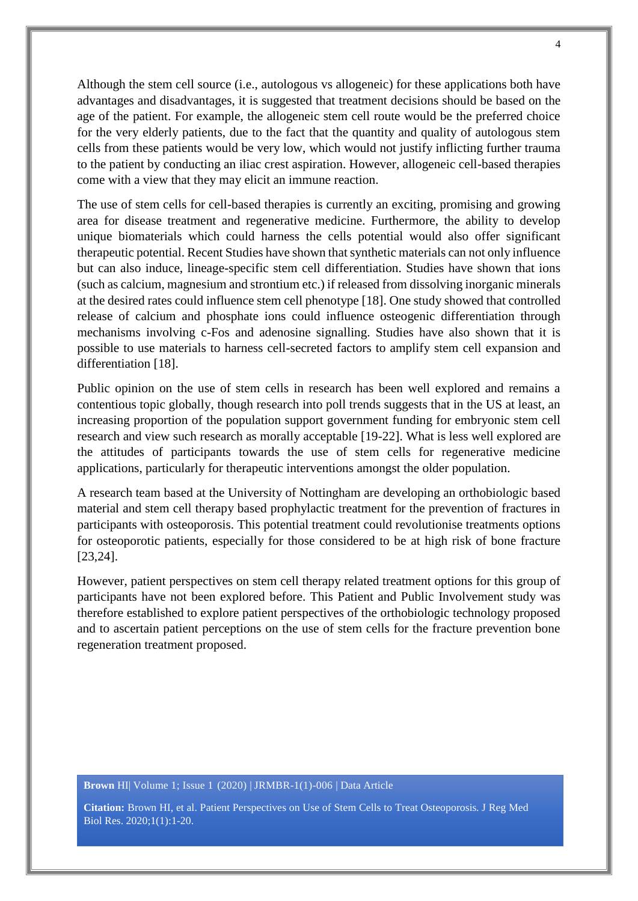Although the stem cell source (i.e., autologous vs allogeneic) for these applications both have advantages and disadvantages, it is suggested that treatment decisions should be based on the age of the patient. For example, the allogeneic stem cell route would be the preferred choice for the very elderly patients, due to the fact that the quantity and quality of autologous stem cells from these patients would be very low, which would not justify inflicting further trauma to the patient by conducting an iliac crest aspiration. However, allogeneic cell-based therapies come with a view that they may elicit an immune reaction.

The use of stem cells for cell-based therapies is currently an exciting, promising and growing area for disease treatment and regenerative medicine. Furthermore, the ability to develop unique biomaterials which could harness the cells potential would also offer significant therapeutic potential. Recent Studies have shown that synthetic materials can not only influence but can also induce, lineage-specific stem cell differentiation. Studies have shown that ions (such as calcium, magnesium and strontium etc.) if released from dissolving inorganic minerals at the desired rates could influence stem cell phenotype [18]. One study showed that controlled release of calcium and phosphate ions could influence osteogenic differentiation through mechanisms involving c-Fos and adenosine signalling. Studies have also shown that it is possible to use materials to harness cell-secreted factors to amplify stem cell expansion and differentiation [18].

Public opinion on the use of stem cells in research has been well explored and remains a contentious topic globally, though research into poll trends suggests that in the US at least, an increasing proportion of the population support government funding for embryonic stem cell research and view such research as morally acceptable [19-22]. What is less well explored are the attitudes of participants towards the use of stem cells for regenerative medicine applications, particularly for therapeutic interventions amongst the older population.

A research team based at the University of Nottingham are developing an orthobiologic based material and stem cell therapy based prophylactic treatment for the prevention of fractures in participants with osteoporosis. This potential treatment could revolutionise treatments options for osteoporotic patients, especially for those considered to be at high risk of bone fracture [23,24].

However, patient perspectives on stem cell therapy related treatment options for this group of participants have not been explored before. This Patient and Public Involvement study was therefore established to explore patient perspectives of the orthobiologic technology proposed and to ascertain patient perceptions on the use of stem cells for the fracture prevention bone regeneration treatment proposed.

#### **Brown** HI| Volume 1; Issue 1 (2020) | JRMBR-1(1)-006 | Data Article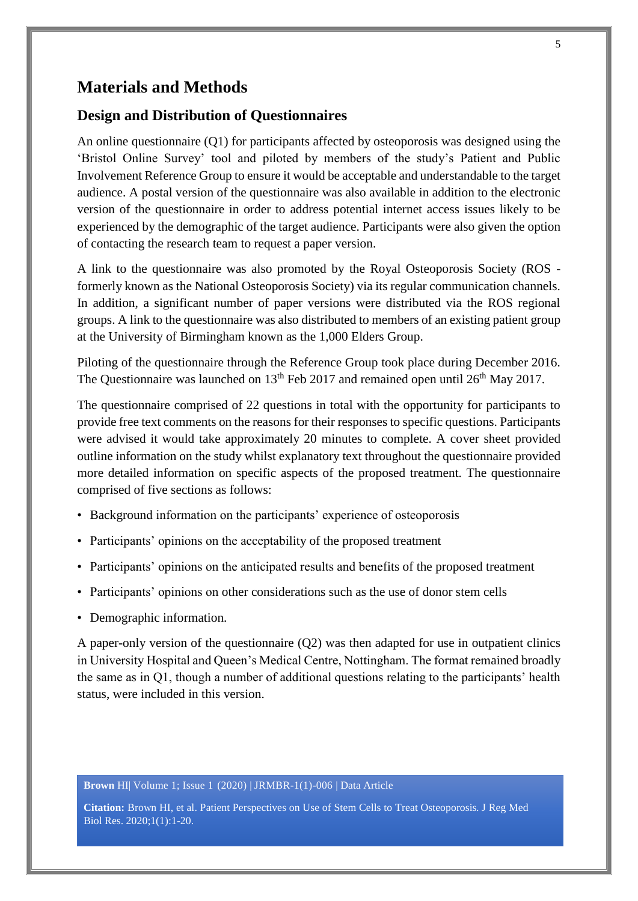# **Materials and Methods**

#### **Design and Distribution of Questionnaires**

An online questionnaire (Q1) for participants affected by osteoporosis was designed using the 'Bristol Online Survey' tool and piloted by members of the study's Patient and Public Involvement Reference Group to ensure it would be acceptable and understandable to the target audience. A postal version of the questionnaire was also available in addition to the electronic version of the questionnaire in order to address potential internet access issues likely to be experienced by the demographic of the target audience. Participants were also given the option of contacting the research team to request a paper version.

A link to the questionnaire was also promoted by the Royal Osteoporosis Society (ROS formerly known as the National Osteoporosis Society) via its regular communication channels. In addition, a significant number of paper versions were distributed via the ROS regional groups. A link to the questionnaire was also distributed to members of an existing patient group at the University of Birmingham known as the 1,000 Elders Group.

Piloting of the questionnaire through the Reference Group took place during December 2016. The Questionnaire was launched on  $13<sup>th</sup>$  Feb 2017 and remained open until  $26<sup>th</sup>$  May 2017.

The questionnaire comprised of 22 questions in total with the opportunity for participants to provide free text comments on the reasons for their responses to specific questions. Participants were advised it would take approximately 20 minutes to complete. A cover sheet provided outline information on the study whilst explanatory text throughout the questionnaire provided more detailed information on specific aspects of the proposed treatment. The questionnaire comprised of five sections as follows:

- Background information on the participants' experience of osteoporosis
- Participants' opinions on the acceptability of the proposed treatment
- Participants' opinions on the anticipated results and benefits of the proposed treatment
- Participants' opinions on other considerations such as the use of donor stem cells
- Demographic information.

A paper-only version of the questionnaire (Q2) was then adapted for use in outpatient clinics in University Hospital and Queen's Medical Centre, Nottingham. The format remained broadly the same as in Q1, though a number of additional questions relating to the participants' health status, were included in this version.

**Brown** HI| Volume 1; Issue 1 (2020) | JRMBR-1(1)-006 | Data Article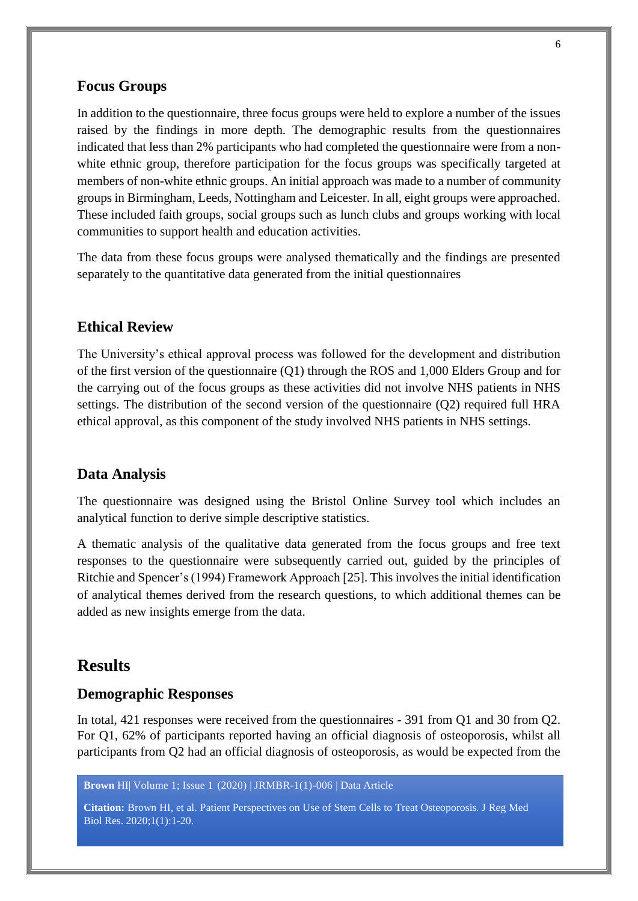#### **Focus Groups**

In addition to the questionnaire, three focus groups were held to explore a number of the issues raised by the findings in more depth. The demographic results from the questionnaires indicated that less than 2% participants who had completed the questionnaire were from a nonwhite ethnic group, therefore participation for the focus groups was specifically targeted at members of non-white ethnic groups. An initial approach was made to a number of community groups in Birmingham, Leeds, Nottingham and Leicester. In all, eight groups were approached. These included faith groups, social groups such as lunch clubs and groups working with local communities to support health and education activities.

The data from these focus groups were analysed thematically and the findings are presented separately to the quantitative data generated from the initial questionnaires

#### **Ethical Review**

The University's ethical approval process was followed for the development and distribution of the first version of the questionnaire (Q1) through the ROS and 1,000 Elders Group and for the carrying out of the focus groups as these activities did not involve NHS patients in NHS settings. The distribution of the second version of the questionnaire (Q2) required full HRA ethical approval, as this component of the study involved NHS patients in NHS settings.

#### **Data Analysis**

The questionnaire was designed using the Bristol Online Survey tool which includes an analytical function to derive simple descriptive statistics.

A thematic analysis of the qualitative data generated from the focus groups and free text responses to the questionnaire were subsequently carried out, guided by the principles of Ritchie and Spencer's (1994) Framework Approach [25]. This involves the initial identification of analytical themes derived from the research questions, to which additional themes can be added as new insights emerge from the data.

# **Results**

#### **Demographic Responses**

In total, 421 responses were received from the questionnaires - 391 from Q1 and 30 from Q2. For Q1, 62% of participants reported having an official diagnosis of osteoporosis, whilst all participants from Q2 had an official diagnosis of osteoporosis, as would be expected from the

**Brown** HI| Volume 1; Issue 1 (2020) | JRMBR-1(1)-006 | Data Article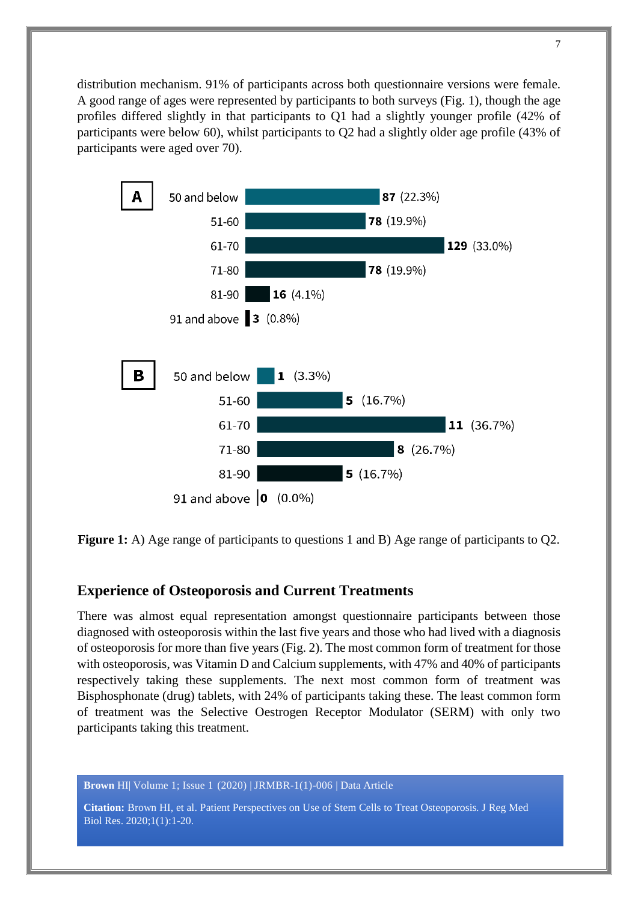distribution mechanism. 91% of participants across both questionnaire versions were female. A good range of ages were represented by participants to both surveys (Fig. 1), though the age profiles differed slightly in that participants to Q1 had a slightly younger profile (42% of participants were below 60), whilst participants to Q2 had a slightly older age profile (43% of participants were aged over 70).



**Figure 1:** A) Age range of participants to questions 1 and B) Age range of participants to Q2.

#### **Experience of Osteoporosis and Current Treatments**

There was almost equal representation amongst questionnaire participants between those diagnosed with osteoporosis within the last five years and those who had lived with a diagnosis of osteoporosis for more than five years (Fig. 2). The most common form of treatment for those with osteoporosis, was Vitamin D and Calcium supplements, with 47% and 40% of participants respectively taking these supplements. The next most common form of treatment was Bisphosphonate (drug) tablets, with 24% of participants taking these. The least common form of treatment was the Selective Oestrogen Receptor Modulator (SERM) with only two participants taking this treatment.

**Brown** HI| Volume 1; Issue 1 (2020) | JRMBR-1(1)-006 | Data Article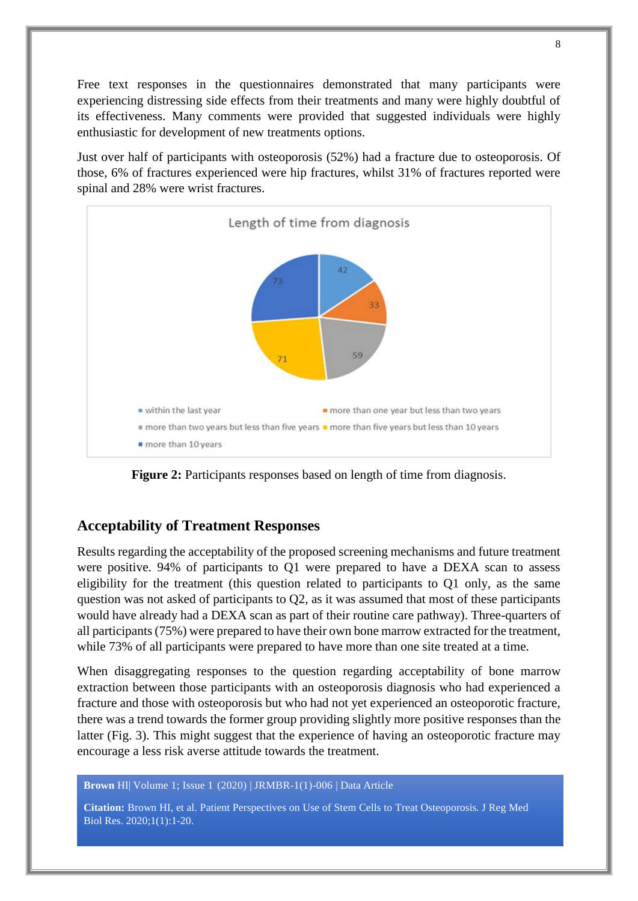Free text responses in the questionnaires demonstrated that many participants were experiencing distressing side effects from their treatments and many were highly doubtful of its effectiveness. Many comments were provided that suggested individuals were highly enthusiastic for development of new treatments options.

Just over half of participants with osteoporosis (52%) had a fracture due to osteoporosis. Of those, 6% of fractures experienced were hip fractures, whilst 31% of fractures reported were spinal and 28% were wrist fractures.



**Figure 2:** Participants responses based on length of time from diagnosis.

#### **Acceptability of Treatment Responses**

Results regarding the acceptability of the proposed screening mechanisms and future treatment were positive. 94% of participants to Q1 were prepared to have a DEXA scan to assess eligibility for the treatment (this question related to participants to Q1 only, as the same question was not asked of participants to Q2, as it was assumed that most of these participants would have already had a DEXA scan as part of their routine care pathway). Three-quarters of all participants (75%) were prepared to have their own bone marrow extracted for the treatment, while 73% of all participants were prepared to have more than one site treated at a time.

When disaggregating responses to the question regarding acceptability of bone marrow extraction between those participants with an osteoporosis diagnosis who had experienced a fracture and those with osteoporosis but who had not yet experienced an osteoporotic fracture, there was a trend towards the former group providing slightly more positive responses than the latter (Fig. 3). This might suggest that the experience of having an osteoporotic fracture may encourage a less risk averse attitude towards the treatment.

**Brown** HI| Volume 1; Issue 1 (2020) | JRMBR-1(1)-006 | Data Article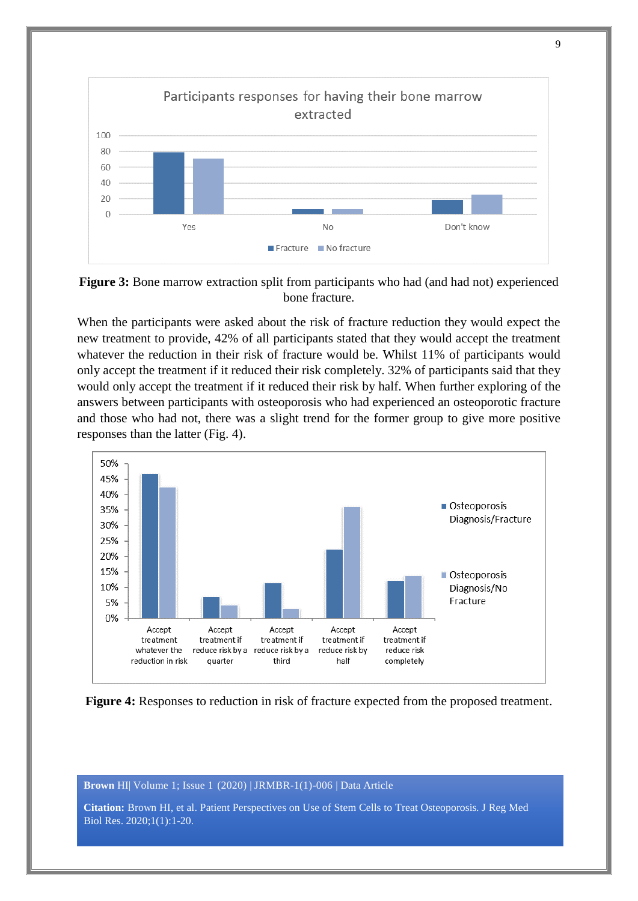

**Figure 3:** Bone marrow extraction split from participants who had (and had not) experienced bone fracture.

When the participants were asked about the risk of fracture reduction they would expect the new treatment to provide, 42% of all participants stated that they would accept the treatment whatever the reduction in their risk of fracture would be. Whilst 11% of participants would only accept the treatment if it reduced their risk completely. 32% of participants said that they would only accept the treatment if it reduced their risk by half. When further exploring of the answers between participants with osteoporosis who had experienced an osteoporotic fracture and those who had not, there was a slight trend for the former group to give more positive responses than the latter (Fig. 4).



**Figure 4:** Responses to reduction in risk of fracture expected from the proposed treatment.

**Brown** HI| Volume 1; Issue 1 (2020) | JRMBR-1(1)-006 | Data Article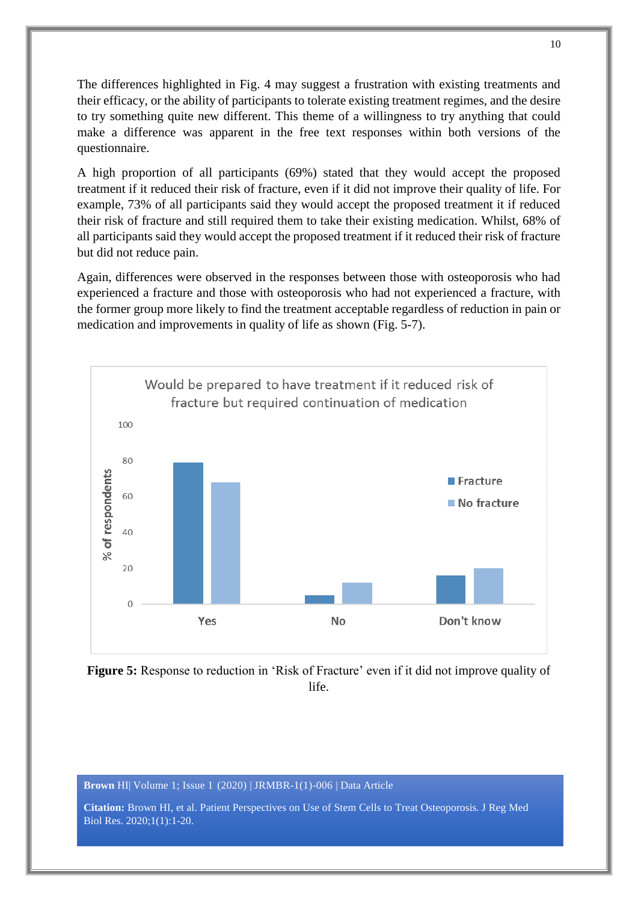The differences highlighted in Fig. 4 may suggest a frustration with existing treatments and their efficacy, or the ability of participants to tolerate existing treatment regimes, and the desire to try something quite new different. This theme of a willingness to try anything that could make a difference was apparent in the free text responses within both versions of the questionnaire.

A high proportion of all participants (69%) stated that they would accept the proposed treatment if it reduced their risk of fracture, even if it did not improve their quality of life. For example, 73% of all participants said they would accept the proposed treatment it if reduced their risk of fracture and still required them to take their existing medication. Whilst, 68% of all participants said they would accept the proposed treatment if it reduced their risk of fracture but did not reduce pain.

Again, differences were observed in the responses between those with osteoporosis who had experienced a fracture and those with osteoporosis who had not experienced a fracture, with the former group more likely to find the treatment acceptable regardless of reduction in pain or medication and improvements in quality of life as shown (Fig. 5-7).





**Brown** HI| Volume 1; Issue 1 (2020) | JRMBR-1(1)-006 | Data Article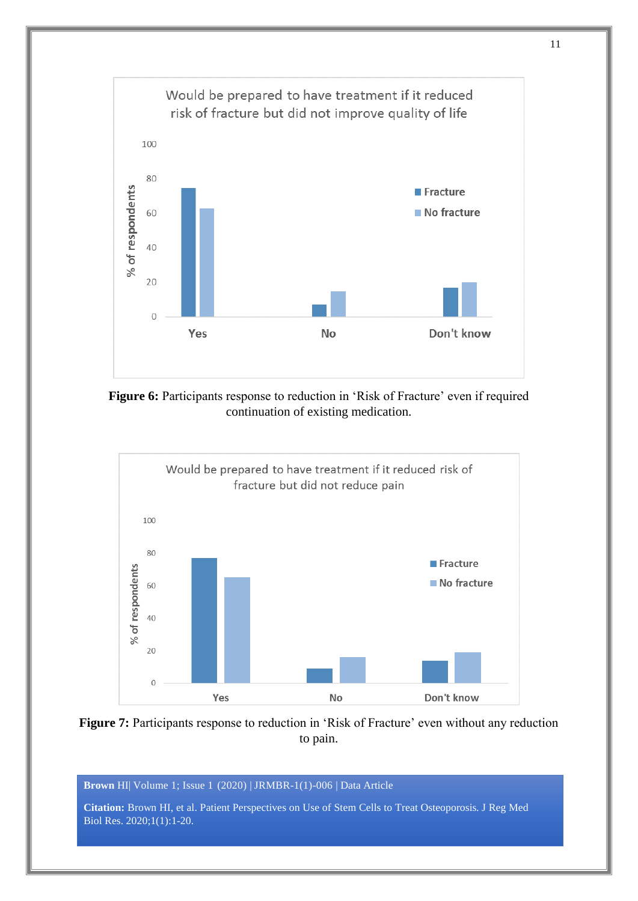

**Figure 6:** Participants response to reduction in 'Risk of Fracture' even if required continuation of existing medication.





**Brown** HI| Volume 1; Issue 1 (2020) | JRMBR-1(1)-006 | Data Article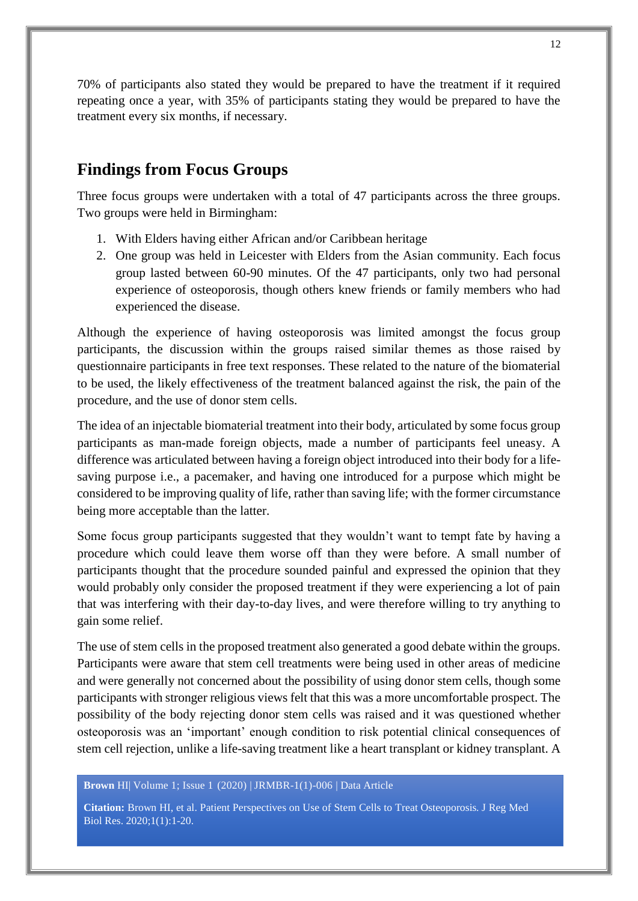70% of participants also stated they would be prepared to have the treatment if it required repeating once a year, with 35% of participants stating they would be prepared to have the treatment every six months, if necessary.

# **Findings from Focus Groups**

Three focus groups were undertaken with a total of 47 participants across the three groups. Two groups were held in Birmingham:

- 1. With Elders having either African and/or Caribbean heritage
- 2. One group was held in Leicester with Elders from the Asian community. Each focus group lasted between 60-90 minutes. Of the 47 participants, only two had personal experience of osteoporosis, though others knew friends or family members who had experienced the disease.

Although the experience of having osteoporosis was limited amongst the focus group participants, the discussion within the groups raised similar themes as those raised by questionnaire participants in free text responses. These related to the nature of the biomaterial to be used, the likely effectiveness of the treatment balanced against the risk, the pain of the procedure, and the use of donor stem cells.

The idea of an injectable biomaterial treatment into their body, articulated by some focus group participants as man-made foreign objects, made a number of participants feel uneasy. A difference was articulated between having a foreign object introduced into their body for a lifesaving purpose i.e., a pacemaker, and having one introduced for a purpose which might be considered to be improving quality of life, rather than saving life; with the former circumstance being more acceptable than the latter.

Some focus group participants suggested that they wouldn't want to tempt fate by having a procedure which could leave them worse off than they were before. A small number of participants thought that the procedure sounded painful and expressed the opinion that they would probably only consider the proposed treatment if they were experiencing a lot of pain that was interfering with their day-to-day lives, and were therefore willing to try anything to gain some relief.

The use of stem cells in the proposed treatment also generated a good debate within the groups. Participants were aware that stem cell treatments were being used in other areas of medicine and were generally not concerned about the possibility of using donor stem cells, though some participants with stronger religious views felt that this was a more uncomfortable prospect. The possibility of the body rejecting donor stem cells was raised and it was questioned whether osteoporosis was an 'important' enough condition to risk potential clinical consequences of stem cell rejection, unlike a life-saving treatment like a heart transplant or kidney transplant. A

#### **Brown** HI| Volume 1; Issue 1 (2020) | JRMBR-1(1)-006 | Data Article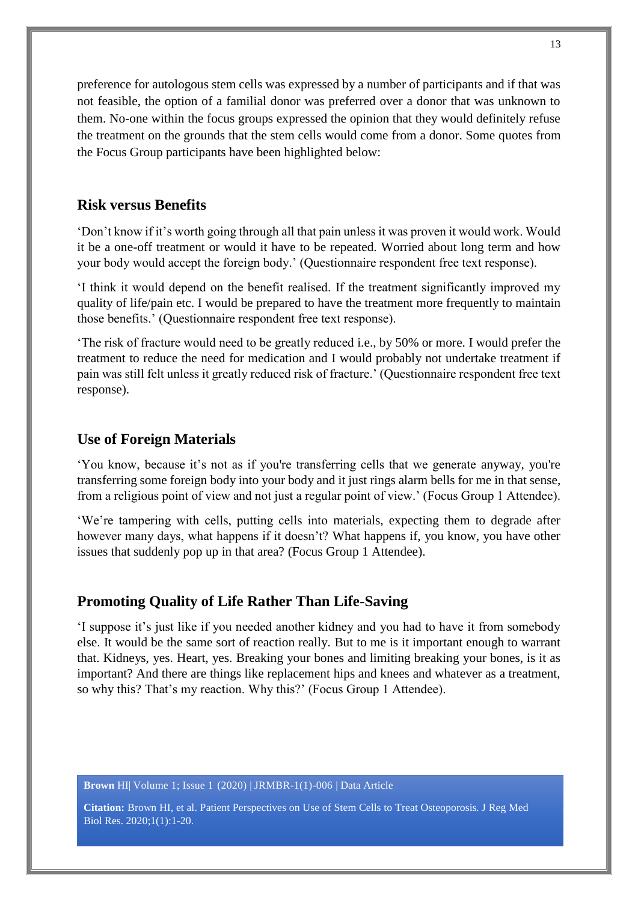preference for autologous stem cells was expressed by a number of participants and if that was not feasible, the option of a familial donor was preferred over a donor that was unknown to them. No-one within the focus groups expressed the opinion that they would definitely refuse the treatment on the grounds that the stem cells would come from a donor. Some quotes from the Focus Group participants have been highlighted below:

#### **Risk versus Benefits**

'Don't know if it's worth going through all that pain unless it was proven it would work. Would it be a one-off treatment or would it have to be repeated. Worried about long term and how your body would accept the foreign body.' (Questionnaire respondent free text response).

'I think it would depend on the benefit realised. If the treatment significantly improved my quality of life/pain etc. I would be prepared to have the treatment more frequently to maintain those benefits.' (Questionnaire respondent free text response).

'The risk of fracture would need to be greatly reduced i.e., by 50% or more. I would prefer the treatment to reduce the need for medication and I would probably not undertake treatment if pain was still felt unless it greatly reduced risk of fracture.' (Questionnaire respondent free text response).

#### **Use of Foreign Materials**

'You know, because it's not as if you're transferring cells that we generate anyway, you're transferring some foreign body into your body and it just rings alarm bells for me in that sense, from a religious point of view and not just a regular point of view.' (Focus Group 1 Attendee).

'We're tampering with cells, putting cells into materials, expecting them to degrade after however many days, what happens if it doesn't? What happens if, you know, you have other issues that suddenly pop up in that area? (Focus Group 1 Attendee).

#### **Promoting Quality of Life Rather Than Life-Saving**

'I suppose it's just like if you needed another kidney and you had to have it from somebody else. It would be the same sort of reaction really. But to me is it important enough to warrant that. Kidneys, yes. Heart, yes. Breaking your bones and limiting breaking your bones, is it as important? And there are things like replacement hips and knees and whatever as a treatment, so why this? That's my reaction. Why this?' (Focus Group 1 Attendee).

**Brown** HI| Volume 1; Issue 1 (2020) | JRMBR-1(1)-006 | Data Article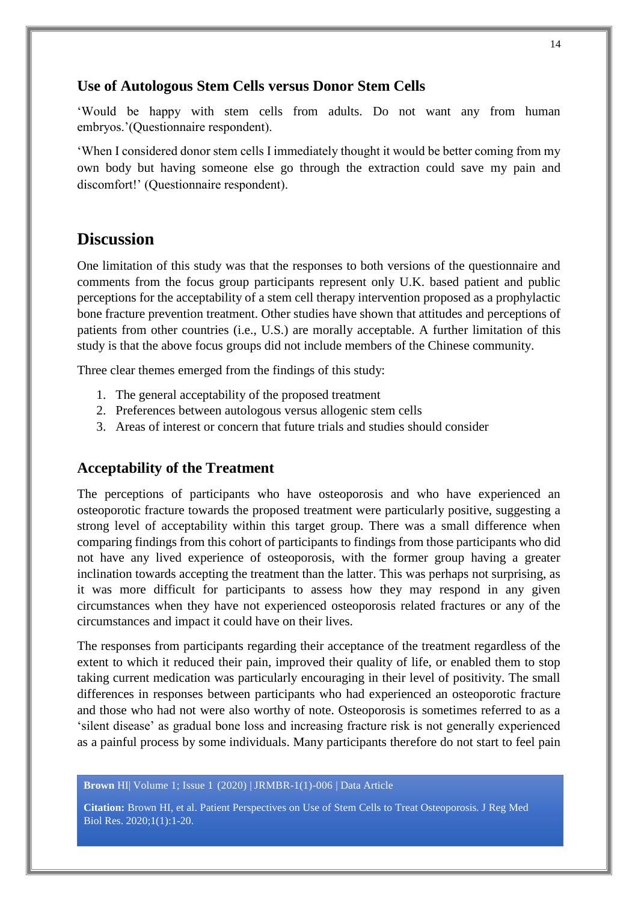#### **Use of Autologous Stem Cells versus Donor Stem Cells**

'Would be happy with stem cells from adults. Do not want any from human embryos.'(Questionnaire respondent).

'When I considered donor stem cells I immediately thought it would be better coming from my own body but having someone else go through the extraction could save my pain and discomfort!' (Questionnaire respondent).

### **Discussion**

One limitation of this study was that the responses to both versions of the questionnaire and comments from the focus group participants represent only U.K. based patient and public perceptions for the acceptability of a stem cell therapy intervention proposed as a prophylactic bone fracture prevention treatment. Other studies have shown that attitudes and perceptions of patients from other countries (i.e., U.S.) are morally acceptable. A further limitation of this study is that the above focus groups did not include members of the Chinese community.

Three clear themes emerged from the findings of this study:

- 1. The general acceptability of the proposed treatment
- 2. Preferences between autologous versus allogenic stem cells
- 3. Areas of interest or concern that future trials and studies should consider

#### **Acceptability of the Treatment**

The perceptions of participants who have osteoporosis and who have experienced an osteoporotic fracture towards the proposed treatment were particularly positive, suggesting a strong level of acceptability within this target group. There was a small difference when comparing findings from this cohort of participants to findings from those participants who did not have any lived experience of osteoporosis, with the former group having a greater inclination towards accepting the treatment than the latter. This was perhaps not surprising, as it was more difficult for participants to assess how they may respond in any given circumstances when they have not experienced osteoporosis related fractures or any of the circumstances and impact it could have on their lives.

The responses from participants regarding their acceptance of the treatment regardless of the extent to which it reduced their pain, improved their quality of life, or enabled them to stop taking current medication was particularly encouraging in their level of positivity. The small differences in responses between participants who had experienced an osteoporotic fracture and those who had not were also worthy of note. Osteoporosis is sometimes referred to as a 'silent disease' as gradual bone loss and increasing fracture risk is not generally experienced as a painful process by some individuals. Many participants therefore do not start to feel pain

**Brown** HI| Volume 1; Issue 1 (2020) | JRMBR-1(1)-006 | Data Article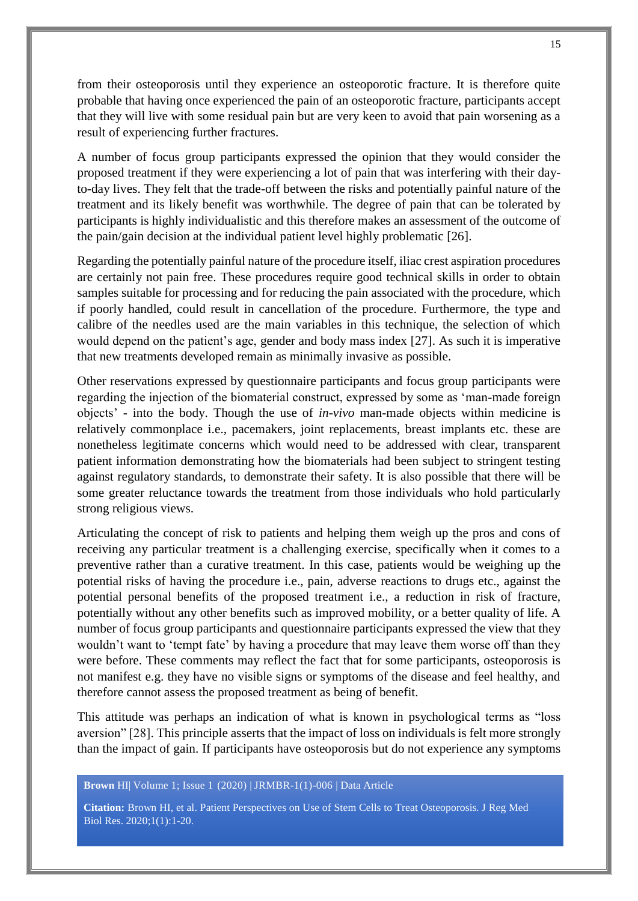from their osteoporosis until they experience an osteoporotic fracture. It is therefore quite probable that having once experienced the pain of an osteoporotic fracture, participants accept that they will live with some residual pain but are very keen to avoid that pain worsening as a result of experiencing further fractures.

A number of focus group participants expressed the opinion that they would consider the proposed treatment if they were experiencing a lot of pain that was interfering with their dayto-day lives. They felt that the trade-off between the risks and potentially painful nature of the treatment and its likely benefit was worthwhile. The degree of pain that can be tolerated by participants is highly individualistic and this therefore makes an assessment of the outcome of the pain/gain decision at the individual patient level highly problematic [26].

Regarding the potentially painful nature of the procedure itself, iliac crest aspiration procedures are certainly not pain free. These procedures require good technical skills in order to obtain samples suitable for processing and for reducing the pain associated with the procedure, which if poorly handled, could result in cancellation of the procedure. Furthermore, the type and calibre of the needles used are the main variables in this technique, the selection of which would depend on the patient's age, gender and body mass index [27]. As such it is imperative that new treatments developed remain as minimally invasive as possible.

Other reservations expressed by questionnaire participants and focus group participants were regarding the injection of the biomaterial construct, expressed by some as 'man-made foreign objects' - into the body. Though the use of *in-vivo* man-made objects within medicine is relatively commonplace i.e., pacemakers, joint replacements, breast implants etc. these are nonetheless legitimate concerns which would need to be addressed with clear, transparent patient information demonstrating how the biomaterials had been subject to stringent testing against regulatory standards, to demonstrate their safety. It is also possible that there will be some greater reluctance towards the treatment from those individuals who hold particularly strong religious views.

Articulating the concept of risk to patients and helping them weigh up the pros and cons of receiving any particular treatment is a challenging exercise, specifically when it comes to a preventive rather than a curative treatment. In this case, patients would be weighing up the potential risks of having the procedure i.e., pain, adverse reactions to drugs etc., against the potential personal benefits of the proposed treatment i.e., a reduction in risk of fracture, potentially without any other benefits such as improved mobility, or a better quality of life. A number of focus group participants and questionnaire participants expressed the view that they wouldn't want to 'tempt fate' by having a procedure that may leave them worse off than they were before. These comments may reflect the fact that for some participants, osteoporosis is not manifest e.g. they have no visible signs or symptoms of the disease and feel healthy, and therefore cannot assess the proposed treatment as being of benefit.

This attitude was perhaps an indication of what is known in psychological terms as "loss aversion" [28]. This principle asserts that the impact of loss on individuals is felt more strongly than the impact of gain. If participants have osteoporosis but do not experience any symptoms

**Brown** HI| Volume 1; Issue 1 (2020) | JRMBR-1(1)-006 | Data Article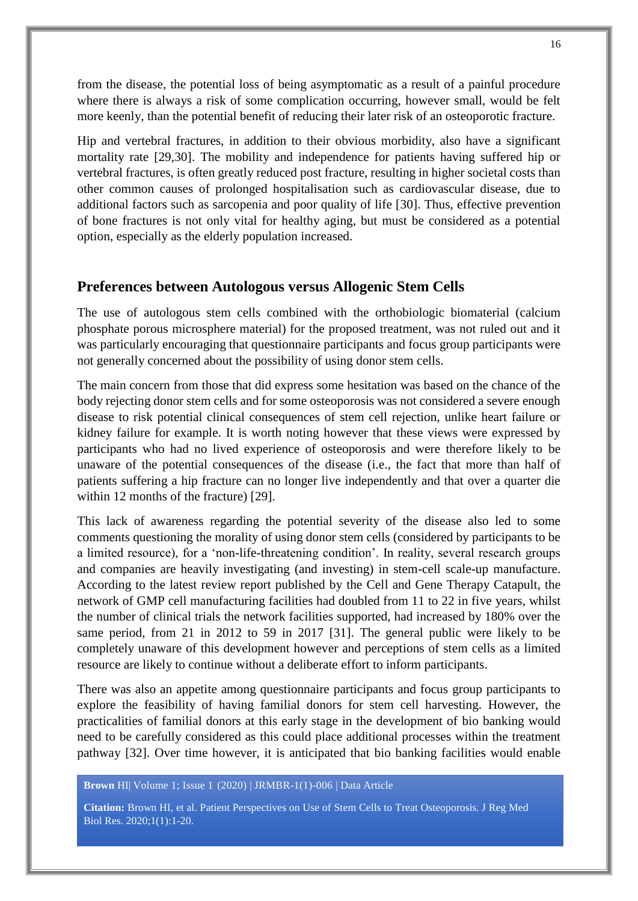from the disease, the potential loss of being asymptomatic as a result of a painful procedure where there is always a risk of some complication occurring, however small, would be felt more keenly, than the potential benefit of reducing their later risk of an osteoporotic fracture.

Hip and vertebral fractures, in addition to their obvious morbidity, also have a significant mortality rate [29,30]. The mobility and independence for patients having suffered hip or vertebral fractures, is often greatly reduced post fracture, resulting in higher societal costs than other common causes of prolonged hospitalisation such as cardiovascular disease, due to additional factors such as sarcopenia and poor quality of life [30]. Thus, effective prevention of bone fractures is not only vital for healthy aging, but must be considered as a potential option, especially as the elderly population increased.

#### **Preferences between Autologous versus Allogenic Stem Cells**

The use of autologous stem cells combined with the orthobiologic biomaterial (calcium phosphate porous microsphere material) for the proposed treatment, was not ruled out and it was particularly encouraging that questionnaire participants and focus group participants were not generally concerned about the possibility of using donor stem cells.

The main concern from those that did express some hesitation was based on the chance of the body rejecting donor stem cells and for some osteoporosis was not considered a severe enough disease to risk potential clinical consequences of stem cell rejection, unlike heart failure or kidney failure for example. It is worth noting however that these views were expressed by participants who had no lived experience of osteoporosis and were therefore likely to be unaware of the potential consequences of the disease (i.e., the fact that more than half of patients suffering a hip fracture can no longer live independently and that over a quarter die within 12 months of the fracture) [29].

This lack of awareness regarding the potential severity of the disease also led to some comments questioning the morality of using donor stem cells (considered by participants to be a limited resource), for a 'non-life-threatening condition'. In reality, several research groups and companies are heavily investigating (and investing) in stem-cell scale-up manufacture. According to the latest review report published by the Cell and Gene Therapy Catapult, the network of GMP cell manufacturing facilities had doubled from 11 to 22 in five years, whilst the number of clinical trials the network facilities supported, had increased by 180% over the same period, from 21 in 2012 to 59 in 2017 [31]. The general public were likely to be completely unaware of this development however and perceptions of stem cells as a limited resource are likely to continue without a deliberate effort to inform participants.

There was also an appetite among questionnaire participants and focus group participants to explore the feasibility of having familial donors for stem cell harvesting. However, the practicalities of familial donors at this early stage in the development of bio banking would need to be carefully considered as this could place additional processes within the treatment pathway [32]. Over time however, it is anticipated that bio banking facilities would enable

**Brown** HI| Volume 1; Issue 1 (2020) | JRMBR-1(1)-006 | Data Article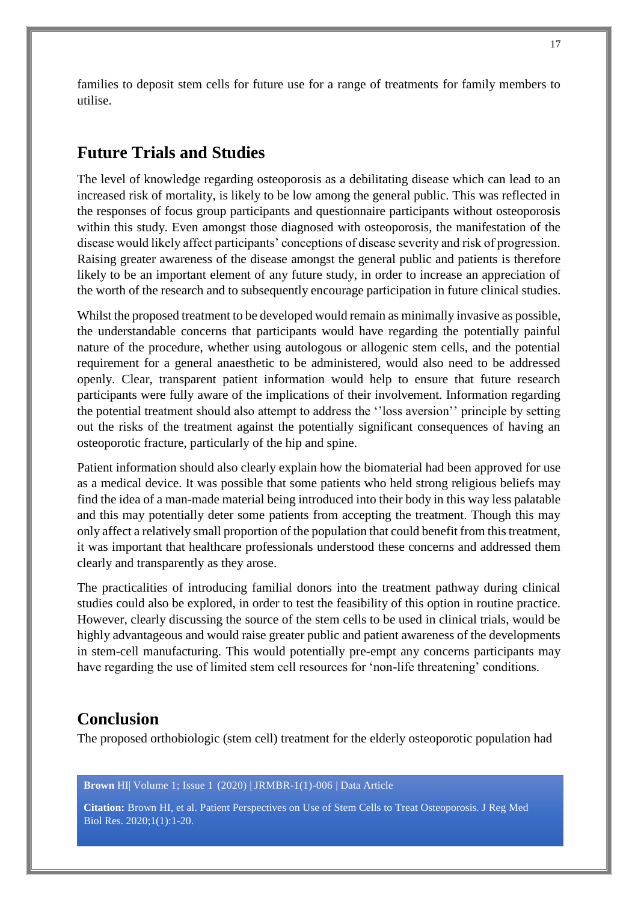families to deposit stem cells for future use for a range of treatments for family members to utilise.

# **Future Trials and Studies**

The level of knowledge regarding osteoporosis as a debilitating disease which can lead to an increased risk of mortality, is likely to be low among the general public. This was reflected in the responses of focus group participants and questionnaire participants without osteoporosis within this study. Even amongst those diagnosed with osteoporosis, the manifestation of the disease would likely affect participants' conceptions of disease severity and risk of progression. Raising greater awareness of the disease amongst the general public and patients is therefore likely to be an important element of any future study, in order to increase an appreciation of the worth of the research and to subsequently encourage participation in future clinical studies.

Whilst the proposed treatment to be developed would remain as minimally invasive as possible, the understandable concerns that participants would have regarding the potentially painful nature of the procedure, whether using autologous or allogenic stem cells, and the potential requirement for a general anaesthetic to be administered, would also need to be addressed openly. Clear, transparent patient information would help to ensure that future research participants were fully aware of the implications of their involvement. Information regarding the potential treatment should also attempt to address the ''loss aversion'' principle by setting out the risks of the treatment against the potentially significant consequences of having an osteoporotic fracture, particularly of the hip and spine.

Patient information should also clearly explain how the biomaterial had been approved for use as a medical device. It was possible that some patients who held strong religious beliefs may find the idea of a man-made material being introduced into their body in this way less palatable and this may potentially deter some patients from accepting the treatment. Though this may only affect a relatively small proportion of the population that could benefit from this treatment, it was important that healthcare professionals understood these concerns and addressed them clearly and transparently as they arose.

The practicalities of introducing familial donors into the treatment pathway during clinical studies could also be explored, in order to test the feasibility of this option in routine practice. However, clearly discussing the source of the stem cells to be used in clinical trials, would be highly advantageous and would raise greater public and patient awareness of the developments in stem-cell manufacturing. This would potentially pre-empt any concerns participants may have regarding the use of limited stem cell resources for 'non-life threatening' conditions.

#### **Conclusion**

The proposed orthobiologic (stem cell) treatment for the elderly osteoporotic population had

**Brown** HI| Volume 1; Issue 1 (2020) | JRMBR-1(1)-006 | Data Article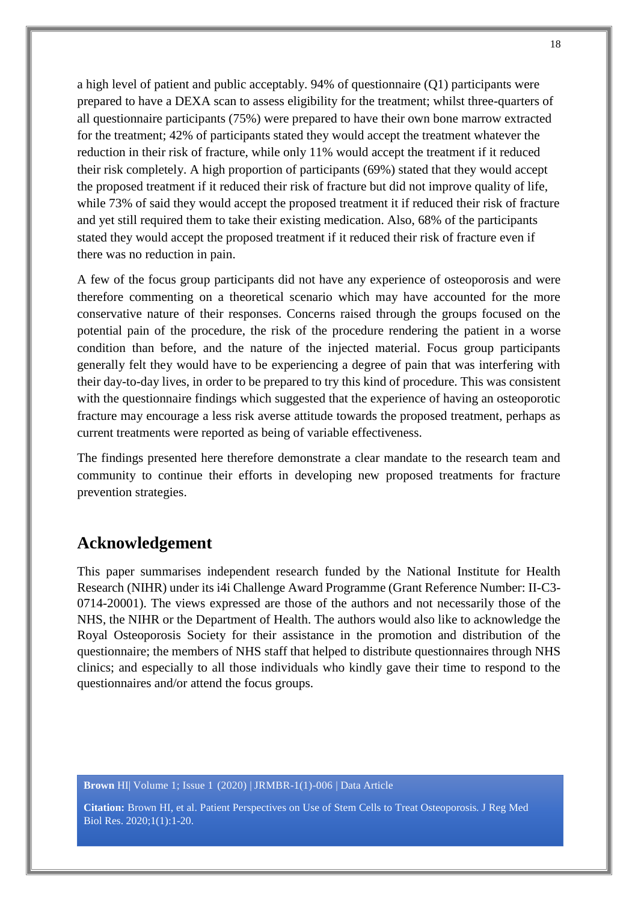a high level of patient and public acceptably. 94% of questionnaire (Q1) participants were prepared to have a DEXA scan to assess eligibility for the treatment; whilst three-quarters of all questionnaire participants (75%) were prepared to have their own bone marrow extracted for the treatment; 42% of participants stated they would accept the treatment whatever the reduction in their risk of fracture, while only 11% would accept the treatment if it reduced their risk completely. A high proportion of participants (69%) stated that they would accept the proposed treatment if it reduced their risk of fracture but did not improve quality of life, while 73% of said they would accept the proposed treatment it if reduced their risk of fracture and yet still required them to take their existing medication. Also, 68% of the participants stated they would accept the proposed treatment if it reduced their risk of fracture even if there was no reduction in pain.

A few of the focus group participants did not have any experience of osteoporosis and were therefore commenting on a theoretical scenario which may have accounted for the more conservative nature of their responses. Concerns raised through the groups focused on the potential pain of the procedure, the risk of the procedure rendering the patient in a worse condition than before, and the nature of the injected material. Focus group participants generally felt they would have to be experiencing a degree of pain that was interfering with their day-to-day lives, in order to be prepared to try this kind of procedure. This was consistent with the questionnaire findings which suggested that the experience of having an osteoporotic fracture may encourage a less risk averse attitude towards the proposed treatment, perhaps as current treatments were reported as being of variable effectiveness.

The findings presented here therefore demonstrate a clear mandate to the research team and community to continue their efforts in developing new proposed treatments for fracture prevention strategies.

# **Acknowledgement**

This paper summarises independent research funded by the National Institute for Health Research (NIHR) under its i4i Challenge Award Programme (Grant Reference Number: II-C3- 0714-20001). The views expressed are those of the authors and not necessarily those of the NHS, the NIHR or the Department of Health. The authors would also like to acknowledge the Royal Osteoporosis Society for their assistance in the promotion and distribution of the questionnaire; the members of NHS staff that helped to distribute questionnaires through NHS clinics; and especially to all those individuals who kindly gave their time to respond to the questionnaires and/or attend the focus groups.

**Brown** HI| Volume 1; Issue 1 (2020) | JRMBR-1(1)-006 | Data Article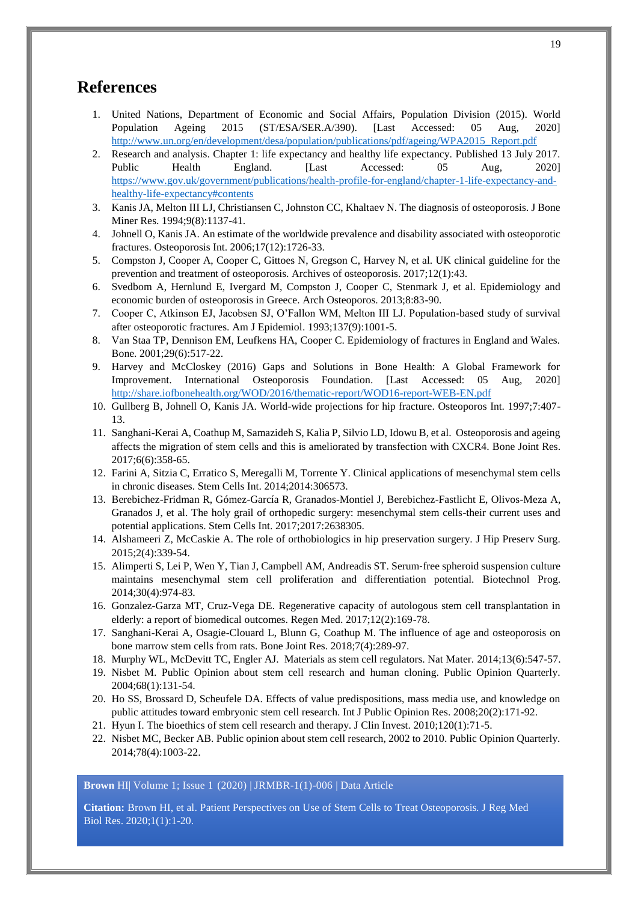# **References**

- 1. United Nations, Department of Economic and Social Affairs, Population Division (2015). World Population Ageing 2015 (ST/ESA/SER.A/390). [Last Accessed: 05 Aug, 2020] [http://www.un.org/en/development/desa/population/publications/pdf/ageing/WPA2015\\_Report.pdf](http://www.un.org/en/development/desa/population/publications/pdf/ageing/WPA2015_Report.pdf)
- 2. Research and analysis. Chapter 1: life expectancy and healthy life expectancy. Published 13 July 2017. Public Health England. [Last Accessed: 05 Aug, 2020] [https://www.gov.uk/government/publications/health-profile-for-england/chapter-1-life-expectancy-and](https://www.gov.uk/government/publications/health-profile-for-england/chapter-1-life-expectancy-and-healthy-life-expectancy#contents)[healthy-life-expectancy#contents](https://www.gov.uk/government/publications/health-profile-for-england/chapter-1-life-expectancy-and-healthy-life-expectancy#contents)
- 3. Kanis JA, Melton III LJ, Christiansen C, Johnston CC, Khaltaev N. The diagnosis of osteoporosis. J Bone Miner Res. 1994;9(8):1137-41.
- 4. Johnell O, Kanis JA. An estimate of the worldwide prevalence and disability associated with osteoporotic fractures. Osteoporosis Int. 2006;17(12):1726-33.
- 5. Compston J, Cooper A, Cooper C, Gittoes N, Gregson C, Harvey N, et al. UK clinical guideline for the prevention and treatment of osteoporosis. Archives of osteoporosis. 2017;12(1):43.
- 6. Svedbom A, Hernlund E, Ivergard M, Compston J, Cooper C, Stenmark J, et al. Epidemiology and economic burden of osteoporosis in Greece. Arch Osteoporos. 2013;8:83-90.
- 7. Cooper C, Atkinson EJ, Jacobsen SJ, O'Fallon WM, Melton III LJ. Population-based study of survival after osteoporotic fractures. Am J Epidemiol. 1993;137(9):1001-5.
- 8. Van Staa TP, Dennison EM, Leufkens HA, Cooper C. Epidemiology of fractures in England and Wales. Bone. 2001;29(6):517-22.
- 9. Harvey and McCloskey (2016) Gaps and Solutions in Bone Health: A Global Framework for Improvement. International Osteoporosis Foundation. [Last Accessed: 05 Aug, 2020] <http://share.iofbonehealth.org/WOD/2016/thematic-report/WOD16-report-WEB-EN.pdf>
- 10. Gullberg B, Johnell O, Kanis JA. World-wide projections for hip fracture. Osteoporos Int. 1997;7:407- 13.
- 11. Sanghani-Kerai A, Coathup M, Samazideh S, Kalia P, Silvio LD, Idowu B, et al. Osteoporosis and ageing affects the migration of stem cells and this is ameliorated by transfection with CXCR4. Bone Joint Res. 2017;6(6):358-65.
- 12. Farini A, Sitzia C, Erratico S, Meregalli M, Torrente Y. Clinical applications of mesenchymal stem cells in chronic diseases. Stem Cells Int. 2014;2014:306573.
- 13. Berebichez-Fridman R, Gómez-García R, Granados-Montiel J, Berebichez-Fastlicht E, Olivos-Meza A, Granados J, et al. The holy grail of orthopedic surgery: mesenchymal stem cells-their current uses and potential applications. Stem Cells Int. 2017;2017:2638305.
- 14. Alshameeri Z, McCaskie A. The role of orthobiologics in hip preservation surgery. J Hip Preserv Surg. 2015;2(4):339-54.
- 15. Alimperti S, Lei P, Wen Y, Tian J, Campbell AM, Andreadis ST. Serum‐free spheroid suspension culture maintains mesenchymal stem cell proliferation and differentiation potential. Biotechnol Prog. 2014;30(4):974-83.
- 16. Gonzalez-Garza MT, Cruz-Vega DE. Regenerative capacity of autologous stem cell transplantation in elderly: a report of biomedical outcomes. Regen Med. 2017;12(2):169-78.
- 17. Sanghani-Kerai A, Osagie-Clouard L, Blunn G, Coathup M. The influence of age and osteoporosis on bone marrow stem cells from rats. Bone Joint Res. 2018;7(4):289-97.
- 18. Murphy WL, McDevitt TC, Engler AJ. Materials as stem cell regulators. Nat Mater. 2014;13(6):547-57.
- 19. Nisbet M. Public Opinion about stem cell research and human cloning. Public Opinion Quarterly. 2004;68(1):131-54.
- 20. Ho SS, Brossard D, Scheufele DA. Effects of value predispositions, mass media use, and knowledge on public attitudes toward embryonic stem cell research. Int J Public Opinion Res. 2008;20(2):171-92.
- 21. Hyun I. The bioethics of stem cell research and therapy. J Clin Invest. 2010;120(1):71-5.
- 22. Nisbet MC, Becker AB. Public opinion about stem cell research, 2002 to 2010. Public Opinion Quarterly. 2014;78(4):1003-22.

**Brown** HI| Volume 1; Issue 1 (2020) | JRMBR-1(1)-006 | Data Article